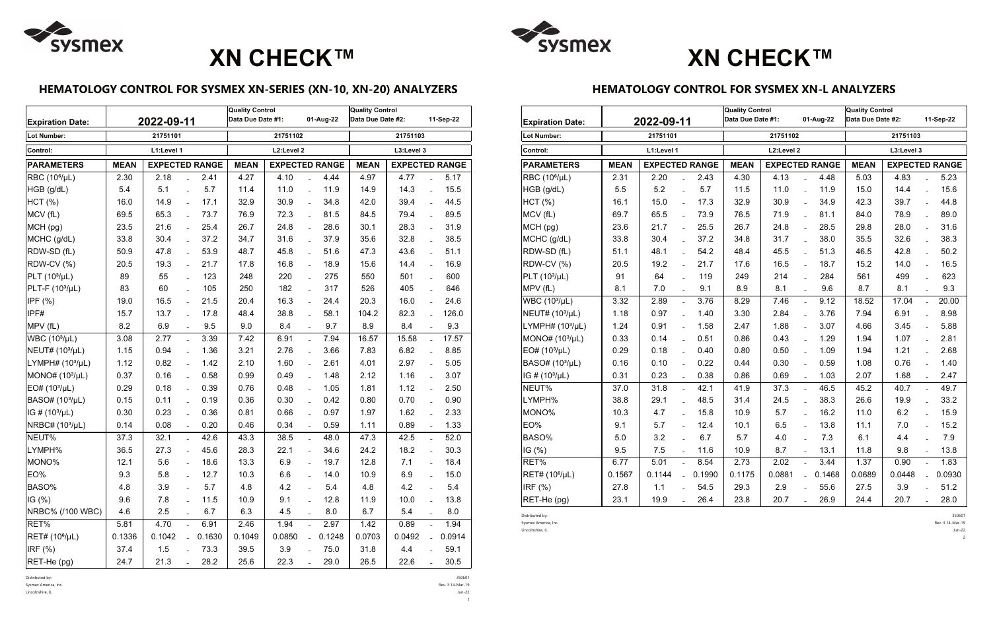### **HEMATOLOGY CONTROL FOR SYSMEX XN-SERIES (XN-10, XN-20) ANALYZERS**

| <b>Expiration Date:</b>     |             | 2022-09-11            |                | Quality Control<br>01-Aug-22<br>Data Due Date #1: |             |                       | <b>Quality Control</b><br>Data Due Date #2: |                                      |        | 11-Sep-22 |                           |        |
|-----------------------------|-------------|-----------------------|----------------|---------------------------------------------------|-------------|-----------------------|---------------------------------------------|--------------------------------------|--------|-----------|---------------------------|--------|
| <b>Lot Number:</b>          |             | 21751101              |                |                                                   | 21751102    |                       | 21751103                                    |                                      |        |           |                           |        |
| Control:                    |             | L1:Level 1            |                |                                                   | L2:Level 2  |                       | L3:Level 3                                  |                                      |        |           |                           |        |
| <b>PARAMETERS</b>           | <b>MEAN</b> | <b>EXPECTED RANGE</b> |                |                                                   | <b>MEAN</b> | <b>EXPECTED RANGE</b> |                                             | <b>EXPECTED RANGE</b><br><b>MEAN</b> |        |           |                           |        |
| RBC (10 <sup>6</sup> /µL)   | 2.30        | 2.18                  |                | 2.41                                              | 4.27        | 4.10                  |                                             | 4.44                                 | 4.97   | 4.77      |                           | 5.17   |
| HGB (g/dL)                  | 5.4         | 5.1                   | $\overline{a}$ | 5.7                                               | 11.4        | 11.0                  | $\overline{a}$                              | 11.9                                 | 14.9   | 14.3      | $\overline{a}$            | 15.5   |
| HCT (%)                     | 16.0        | 14.9                  | $\overline{a}$ | 17.1                                              | 32.9        | 30.9                  | $\overline{a}$                              | 34.8                                 | 42.0   | 39.4      | $\overline{a}$            | 44.5   |
| MCV (fL)                    | 69.5        | 65.3                  | $\overline{a}$ | 73.7                                              | 76.9        | 72.3                  | $\overline{a}$                              | 81.5                                 | 84.5   | 79.4      | $\equiv$                  | 89.5   |
| MCH (pg)                    | 23.5        | 21.6                  | $\overline{a}$ | 25.4                                              | 26.7        | 24.8                  | $\overline{a}$                              | 28.6                                 | 30.1   | 28.3      | $\equiv$                  | 31.9   |
| MCHC (g/dL)                 | 33.8        | 30.4                  |                | 37.2                                              | 34.7        | 31.6                  |                                             | 37.9                                 | 35.6   | 32.8      |                           | 38.5   |
| RDW-SD (fL)                 | 50.9        | 47.8                  | $\overline{a}$ | 53.9                                              | 48.7        | 45.8                  | $\overline{a}$                              | 51.6                                 | 47.3   | 43.6      | $\overline{a}$            | 51.1   |
| RDW-CV (%)                  | 20.5        | 19.3                  | $\overline{a}$ | 21.7                                              | 17.8        | 16.8                  | $\overline{a}$                              | 18.9                                 | 15.6   | 14.4      | $\overline{a}$            | 16.9   |
| $PLT (103/\mu L)$           | 89          | 55                    | $\overline{a}$ | 123                                               | 248         | 220                   | $\overline{a}$                              | 275                                  | 550    | 501       | $\overline{a}$            | 600    |
| $PLT-F (103/µL)$            | 83          | 60                    | $\overline{a}$ | 105                                               | 250         | 182                   | $\overline{a}$                              | 317                                  | 526    | 405       | $\overline{a}$            | 646    |
| IPF $(%)$                   | 19.0        | 16.5                  | $\overline{a}$ | 21.5                                              | 20.4        | 16.3                  | $\overline{a}$                              | 24.4                                 | 20.3   | 16.0      | $\overline{a}$            | 24.6   |
| IPF#                        | 15.7        | 13.7                  |                | 17.8                                              | 48.4        | 38.8                  | $\overline{a}$                              | 58.1                                 | 104.2  | 82.3      | $\overline{a}$            | 126.0  |
| MPV (fL)                    | 8.2         | 6.9                   |                | 9.5                                               | 9.0         | 8.4                   | $\overline{a}$                              | 9.7                                  | 8.9    | 8.4       | $\overline{a}$            | 9.3    |
| WBC (10 <sup>3</sup> /µL)   | 3.08        | 2.77                  | $\overline{a}$ | 3.39                                              | 7.42        | 6.91                  | $\overline{a}$                              | 7.94                                 | 16.57  | 15.58     | $\mathbb{Z}^{\mathbb{Z}}$ | 17.57  |
| NEUT# (10 <sup>3</sup> /µL) | 1.15        | 0.94                  |                | 1.36                                              | 3.21        | 2.76                  |                                             | 3.66                                 | 7.83   | 6.82      |                           | 8.85   |
| LYMPH# $(103/µL)$           | 1.12        | 0.82                  | $\overline{a}$ | 1.42                                              | 2.10        | 1.60                  | $\overline{a}$                              | 2.61                                 | 4.01   | 2.97      | $\overline{a}$            | 5.05   |
| MONO# (10 <sup>3</sup> /µL) | 0.37        | 0.16                  |                | 0.58                                              | 0.99        | 0.49                  | $\overline{a}$                              | 1.48                                 | 2.12   | 1.16      | $\overline{a}$            | 3.07   |
| EO# (10 <sup>3</sup> /µL)   | 0.29        | 0.18                  | $\overline{a}$ | 0.39                                              | 0.76        | 0.48                  | $\bar{\phantom{a}}$                         | 1.05                                 | 1.81   | 1.12      | $\overline{a}$            | 2.50   |
| BASO# (10 <sup>3</sup> /µL) | 0.15        | 0.11                  | $\overline{a}$ | 0.19                                              | 0.36        | 0.30                  | $\overline{a}$                              | 0.42                                 | 0.80   | 0.70      | $\overline{a}$            | 0.90   |
| IG # $(10^3/\mu)$           | 0.30        | 0.23                  |                | 0.36                                              | 0.81        | 0.66                  | $\overline{a}$                              | 0.97                                 | 1.97   | 1.62      | $\overline{a}$            | 2.33   |
| NRBC# (103/µL)              | 0.14        | 0.08                  |                | 0.20                                              | 0.46        | 0.34                  |                                             | 0.59                                 | 1.11   | 0.89      |                           | 1.33   |
| NEUT%                       | 37.3        | 32.1                  |                | 42.6                                              | 43.3        | 38.5                  | $\overline{a}$                              | 48.0                                 | 47.3   | 42.5      | $\mathbb{L}^{\mathbb{R}}$ | 52.0   |
| LYMPH%                      | 36.5        | 27.3                  |                | 45.6                                              | 28.3        | 22.1                  | $\overline{a}$                              | 34.6                                 | 24.2   | 18.2      | $\overline{a}$            | 30.3   |
| MONO%                       | 12.1        | 5.6                   | $\overline{a}$ | 18.6                                              | 13.3        | 6.9                   | $\overline{a}$                              | 19.7                                 | 12.8   | 7.1       | $\overline{a}$            | 18.4   |
| EO%                         | 9.3         | 5.8                   |                | 12.7                                              | 10.3        | 6.6                   |                                             | 14.0                                 | 10.9   | 6.9       |                           | 15.0   |
| BASO%                       | 4.8         | 3.9                   |                | 5.7                                               | 4.8         | 4.2                   |                                             | 5.4                                  | 4.8    | 4.2       |                           | 5.4    |
| IG(% )                      | 9.6         | 7.8                   |                | 11.5                                              | 10.9        | 9.1                   | $\overline{a}$                              | 12.8                                 | 11.9   | 10.0      | $\equiv$                  | 13.8   |
| NRBC% (/100 WBC)            | 4.6         | 2.5                   |                | 6.7                                               | 6.3         | 4.5                   |                                             | 8.0                                  | 6.7    | 5.4       |                           | 8.0    |
| RET%                        | 5.81        | 4.70                  |                | 6.91                                              | 2.46        | 1.94                  |                                             | 2.97                                 | 1.42   | 0.89      | $\overline{a}$            | 1.94   |
| RET# (10 <sup>6</sup> /µL)  | 0.1336      | 0.1042                | $\overline{a}$ | 0.1630                                            | 0.1049      | 0.0850                |                                             | 0.1248                               | 0.0703 | 0.0492    |                           | 0.0914 |
| IRF (%)                     | 37.4        | 1.5                   |                | 73.3                                              | 39.5        | 3.9                   |                                             | 75.0                                 | 31.8   | 4.4       |                           | 59.1   |
| RET-He (pg)                 | 24.7        | 21.3                  |                | 28.2                                              | 25.6        | 22.3                  |                                             | 29.0                                 | 26.5   | 22.6      |                           | 30.5   |

Distributed by: 350601

Sysmex America, Inc. Rev. 3 14-Mar-19

Lincolnshire, IL Jun-22

1

### **HEMATOLOGY CONTROL FOR SYSMEX XN-L ANALYZERS**

| <b>Expiration Date:</b>      |             | 2022-09-11            |                          |        | <b>Quality Control</b><br>Data Due Date #1: |                       |                | 01-Aug-22 | <b>Quality Control</b><br>Data Due Date #2: |                       |                | 11-Sep-22 |
|------------------------------|-------------|-----------------------|--------------------------|--------|---------------------------------------------|-----------------------|----------------|-----------|---------------------------------------------|-----------------------|----------------|-----------|
| Lot Number:                  |             | 21751101              |                          |        | 21751102                                    |                       | 21751103       |           |                                             |                       |                |           |
| Control:                     |             | L1:Level 1            |                          |        | L2:Level 2                                  |                       | L3:Level 3     |           |                                             |                       |                |           |
| <b>PARAMETERS</b>            | <b>MEAN</b> | <b>EXPECTED RANGE</b> |                          |        | <b>MEAN</b>                                 | <b>EXPECTED RANGE</b> |                |           | <b>MEAN</b>                                 | <b>EXPECTED RANGE</b> |                |           |
| RBC (10 <sup>6</sup> /µL)    | 2.31        | 2.20                  | $\overline{a}$           | 2.43   | 4.30                                        | 4.13                  | $\overline{a}$ | 4.48      | 5.03                                        | 4.83                  |                | 5.23      |
| HGB (g/dL)                   | 5.5         | 5.2                   | $\overline{a}$           | 5.7    | 11.5                                        | 11.0                  | $\overline{a}$ | 11.9      | 15.0                                        | 14.4                  | $\overline{a}$ | 15.6      |
| HCT (%)                      | 16.1        | 15.0                  | $\overline{a}$           | 17.3   | 32.9                                        | 30.9                  |                | 34.9      | 42.3                                        | 39.7                  | $\overline{a}$ | 44.8      |
| MCV (fL)                     | 69.7        | 65.5                  | $\overline{a}$           | 73.9   | 76.5                                        | 71.9                  | $\equiv$       | 81.1      | 84.0                                        | 78.9                  | $\overline{a}$ | 89.0      |
| MCH (pg)                     | 23.6        | 21.7                  | $\overline{a}$           | 25.5   | 26.7                                        | 24.8                  | $\overline{a}$ | 28.5      | 29.8                                        | 28.0                  | $\overline{a}$ | 31.6      |
| MCHC (g/dL)                  | 33.8        | 30.4                  | $\overline{a}$           | 37.2   | 34.8                                        | 31.7                  | $\overline{a}$ | 38.0      | 35.5                                        | 32.6                  | $\overline{a}$ | 38.3      |
| RDW-SD (fL)                  | 51.1        | 48.1                  |                          | 54.2   | 48.4                                        | 45.5                  |                | 51.3      | 46.5                                        | 42.8                  |                | 50.2      |
| RDW-CV (%)                   | 20.5        | 19.2                  |                          | 21.7   | 17.6                                        | 16.5                  |                | 18.7      | 15.2                                        | 14.0                  |                | 16.5      |
| PLT $(103/\mu L)$            | 91          | 64                    | $\overline{a}$           | 119    | 249                                         | 214                   | $\overline{a}$ | 284       | 561                                         | 499                   | $\equiv$       | 623       |
| MPV (fL)                     | 8.1         | 7.0                   |                          | 9.1    | 8.9                                         | 8.1                   |                | 9.6       | 8.7                                         | 8.1                   |                | 9.3       |
| WBC $(103/µL)$               | 3.32        | 2.89                  | $\overline{a}$           | 3.76   | 8.29                                        | 7.46                  | $\overline{a}$ | 9.12      | 18.52                                       | 17.04                 | $\overline{a}$ | 20.00     |
| NEUT# (10 <sup>3</sup> /µL)  | 1.18        | 0.97                  | $\overline{a}$           | 1.40   | 3.30                                        | 2.84                  | $\overline{a}$ | 3.76      | 7.94                                        | 6.91                  | $\overline{a}$ | 8.98      |
| LYMPH# (10 <sup>3</sup> /µL) | 1.24        | 0.91                  |                          | 1.58   | 2.47                                        | 1.88                  |                | 3.07      | 4.66                                        | 3.45                  | $\overline{a}$ | 5.88      |
| MONO# (10 <sup>3</sup> /µL)  | 0.33        | 0.14                  | $\overline{a}$           | 0.51   | 0.86                                        | 0.43                  | $\overline{a}$ | 1.29      | 1.94                                        | 1.07                  | $\overline{a}$ | 2.81      |
| $EO# (103/\mu L)$            | 0.29        | 0.18                  | $\overline{a}$           | 0.40   | 0.80                                        | 0.50                  |                | 1.09      | 1.94                                        | 1.21                  | $\overline{a}$ | 2.68      |
| BASO# (10 <sup>3</sup> /µL)  | 0.16        | 0.10                  | $\overline{\phantom{a}}$ | 0.22   | 0.44                                        | 0.30                  | $\overline{a}$ | 0.59      | 1.08                                        | 0.76                  | $\overline{a}$ | 1.40      |
| IG # $(10^3/\mu L)$          | 0.31        | 0.23                  |                          | 0.38   | 0.86                                        | 0.69                  |                | 1.03      | 2.07                                        | 1.68                  |                | 2.47      |
| NEUT%                        | 37.0        | 31.8                  | $\overline{a}$           | 42.1   | 41.9                                        | 37.3                  |                | 46.5      | 45.2                                        | 40.7                  | $\overline{a}$ | 49.7      |
| LYMPH%                       | 38.8        | 29.1                  |                          | 48.5   | 31.4                                        | 24.5                  |                | 38.3      | 26.6                                        | 19.9                  | $\equiv$       | 33.2      |
| MONO%                        | 10.3        | 4.7                   | $\overline{a}$           | 15.8   | 10.9                                        | 5.7                   | $\overline{a}$ | 16.2      | 11.0                                        | 6.2                   | $\overline{a}$ | 15.9      |
| EO%                          | 9.1         | 5.7                   | $\overline{a}$           | 12.4   | 10.1                                        | 6.5                   | $\overline{a}$ | 13.8      | 11.1                                        | 7.0                   | $\overline{a}$ | 15.2      |
| BASO%                        | 5.0         | 3.2                   | $\overline{a}$           | 6.7    | 5.7                                         | 4.0                   | $\overline{a}$ | 7.3       | 6.1                                         | 4.4                   | $\equiv$       | 7.9       |
| IG (%)                       | 9.5         | 7.5                   | $\overline{a}$           | 11.6   | 10.9                                        | 8.7                   | $\overline{a}$ | 13.1      | 11.8                                        | 9.8                   | $\overline{a}$ | 13.8      |
| RET%                         | 6.77        | 5.01                  | $\overline{a}$           | 8.54   | 2.73                                        | 2.02                  |                | 3.44      | 1.37                                        | 0.90                  | $\overline{a}$ | 1.83      |
| RET# (10 <sup>6</sup> /µL)   | 0.1567      | 0.1144                |                          | 0.1990 | 0.1175                                      | 0.0881                |                | 0.1468    | 0.0689                                      | 0.0448                |                | 0.0930    |
| IRF (%)                      | 27.8        | 1.1                   |                          | 54.5   | 29.3                                        | 2.9                   |                | 55.6      | 27.5                                        | 3.9                   |                | 51.2      |
| RET-He (pg)                  | 23.1        | 19.9                  | $\overline{a}$           | 26.4   | 23.8                                        | 20.7                  | $\overline{a}$ | 26.9      | 24.4                                        | 20.7                  |                | 28.0      |

Distributed by: 350601

Sysmex America, Inc. Rev. 3 14-Mar-19

Lincolnshire, IL Jun-22







 $\overline{2}$